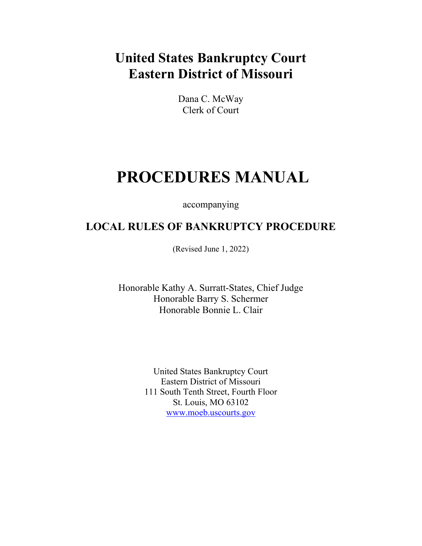# **United States Bankruptcy Court Eastern District of Missouri**

Dana C. McWay Clerk of Court

# **PROCEDURES MANUAL**

accompanying

## **LOCAL RULES OF BANKRUPTCY PROCEDURE**

(Revised June 1, 2022)

Honorable Kathy A. Surratt-States, Chief Judge Honorable Barry S. Schermer Honorable Bonnie L. Clair

> United States Bankruptcy Court Eastern District of Missouri 111 South Tenth Street, Fourth Floor St. Louis, MO 63102 [www.moeb.uscourts.gov](http://www.moeb.uscourts.gov/)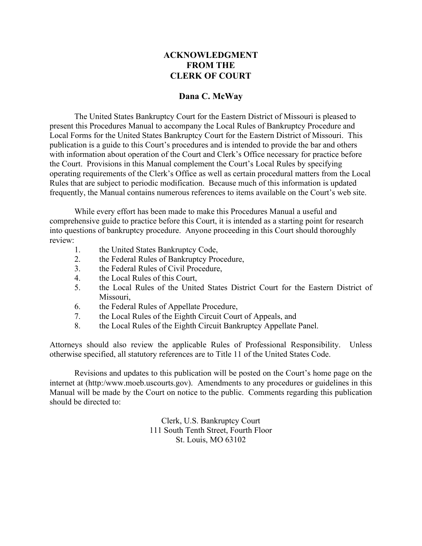## **ACKNOWLEDGMENT FROM THE CLERK OF COURT**

#### **Dana C. McWay**

The United States Bankruptcy Court for the Eastern District of Missouri is pleased to present this Procedures Manual to accompany the Local Rules of Bankruptcy Procedure and Local Forms for the United States Bankruptcy Court for the Eastern District of Missouri. This publication is a guide to this Court's procedures and is intended to provide the bar and others with information about operation of the Court and Clerk's Office necessary for practice before the Court. Provisions in this Manual complement the Court's Local Rules by specifying operating requirements of the Clerk's Office as well as certain procedural matters from the Local Rules that are subject to periodic modification. Because much of this information is updated frequently, the Manual contains numerous references to items available on the Court's web site.

While every effort has been made to make this Procedures Manual a useful and comprehensive guide to practice before this Court, it is intended as a starting point for research into questions of bankruptcy procedure. Anyone proceeding in this Court should thoroughly review:

- 1. the United States Bankruptcy Code,
- 2. the Federal Rules of Bankruptcy Procedure,
- 3. the Federal Rules of Civil Procedure,
- 4. the Local Rules of this Court,
- 5. the Local Rules of the United States District Court for the Eastern District of Missouri,
- 6. the Federal Rules of Appellate Procedure,
- 7. the Local Rules of the Eighth Circuit Court of Appeals, and
- 8. the Local Rules of the Eighth Circuit Bankruptcy Appellate Panel.

Attorneys should also review the applicable Rules of Professional Responsibility. Unless otherwise specified, all statutory references are to Title 11 of the United States Code.

Revisions and updates to this publication will be posted on the Court's home page on the internet at (http:/www.moeb.uscourts.gov). Amendments to any procedures or guidelines in this Manual will be made by the Court on notice to the public. Comments regarding this publication should be directed to:

> Clerk, U.S. Bankruptcy Court 111 South Tenth Street, Fourth Floor St. Louis, MO 63102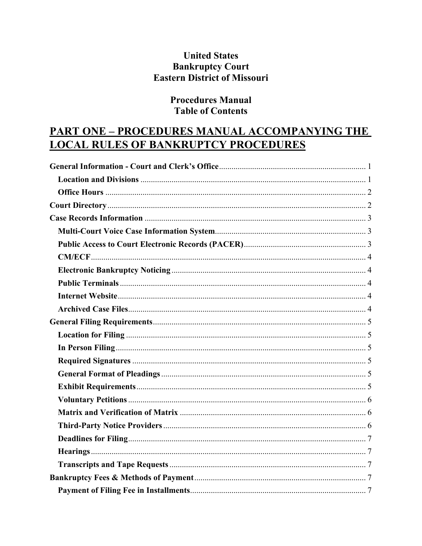## **United States Bankruptcy Court Eastern District of Missouri**

## **Procedures Manual Table of Contents**

## **PART ONE - PROCEDURES MANUAL ACCOMPANYING THE LOCAL RULES OF BANKRUPTCY PROCEDURES**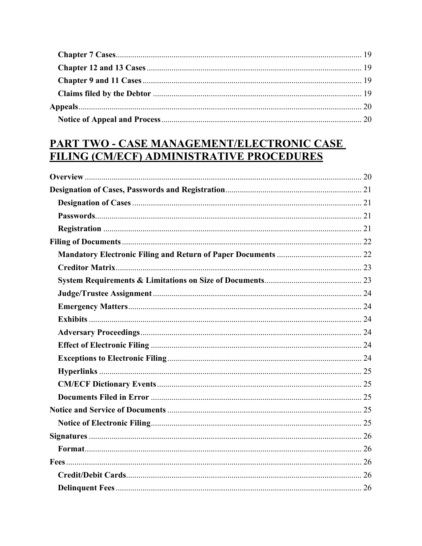## PART TWO - CASE MANAGEMENT/ELECTRONIC CASE FILING (CM/ECF) ADMINISTRATIVE PROCEDURES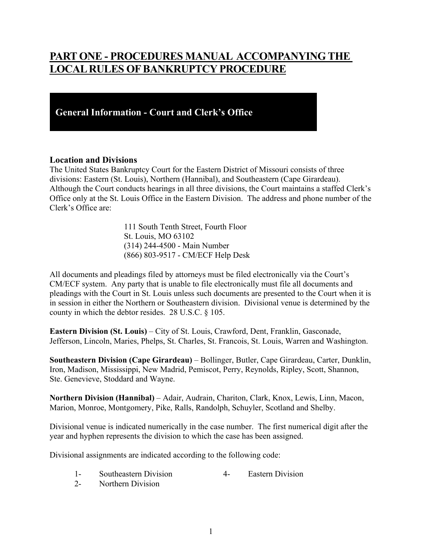## **PART ONE - PROCEDURES MANUAL ACCOMPANYING THE LOCAL RULES OF BANKRUPTCY PROCEDURE**

## **General Information - Court and Clerk's Office**

#### <span id="page-7-0"></span>**Location and Divisions**

The United States Bankruptcy Court for the Eastern District of Missouri consists of three divisions: Eastern (St. Louis), Northern (Hannibal), and Southeastern (Cape Girardeau). Although the Court conducts hearings in all three divisions, the Court maintains a staffed Clerk's Office only at the St. Louis Office in the Eastern Division. The address and phone number of the Clerk's Office are:

> 111 South Tenth Street, Fourth Floor St. Louis, MO 63102 (314) 244-4500 - Main Number (866) 803-9517 - CM/ECF Help Desk

All documents and pleadings filed by attorneys must be filed electronically via the Court's CM/ECF system. Any party that is unable to file electronically must file all documents and pleadings with the Court in St. Louis unless such documents are presented to the Court when it is in session in either the Northern or Southeastern division. Divisional venue is determined by the county in which the debtor resides. 28 U.S.C. § 105.

**Eastern Division (St. Louis)** – City of St. Louis, Crawford, Dent, Franklin, Gasconade, Jefferson, Lincoln, Maries, Phelps, St. Charles, St. Francois, St. Louis, Warren and Washington.

**Southeastern Division (Cape Girardeau)** – Bollinger, Butler, Cape Girardeau, Carter, Dunklin, Iron, Madison, Mississippi, New Madrid, Pemiscot, Perry, Reynolds, Ripley, Scott, Shannon, Ste. Genevieve, Stoddard and Wayne.

**Northern Division (Hannibal)** – Adair, Audrain, Chariton, Clark, Knox, Lewis, Linn, Macon, Marion, Monroe, Montgomery, Pike, Ralls, Randolph, Schuyler, Scotland and Shelby.

Divisional venue is indicated numerically in the case number. The first numerical digit after the year and hyphen represents the division to which the case has been assigned.

Divisional assignments are indicated according to the following code:

- 1- Southeastern Division 4- Eastern Division
- 2- Northern Division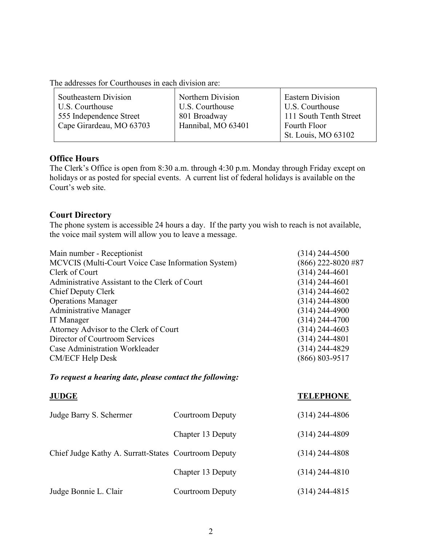|  | The addresses for Courthouses in each division are: |  |  |
|--|-----------------------------------------------------|--|--|
|--|-----------------------------------------------------|--|--|

| Southeastern Division    | Northern Division  | <b>Eastern Division</b> |
|--------------------------|--------------------|-------------------------|
| U.S. Courthouse          | U.S. Courthouse    | U.S. Courthouse         |
| 555 Independence Street  | 801 Broadway       | 111 South Tenth Street  |
| Cape Girardeau, MO 63703 | Hannibal, MO 63401 | Fourth Floor            |
|                          |                    | St. Louis, MO 63102     |
|                          |                    |                         |

#### <span id="page-8-0"></span>**Office Hours**

The Clerk's Office is open from 8:30 a.m. through 4:30 p.m. Monday through Friday except on holidays or as posted for special events. A current list of federal holidays is available on the Court's web site.

## <span id="page-8-1"></span>**Court Directory**

The phone system is accessible 24 hours a day. If the party you wish to reach is not available, the voice mail system will allow you to leave a message.

| $(314)$ 244-4500     |
|----------------------|
| $(866)$ 222-8020 #87 |
| $(314)$ 244-4601     |
| $(314)$ 244-4601     |
| $(314)$ 244-4602     |
| $(314)$ 244-4800     |
| $(314)$ 244-4900     |
| $(314)$ 244-4700     |
| $(314)$ 244-4603     |
| $(314)$ 244-4801     |
| $(314)$ 244-4829     |
| $(866) 803 - 9517$   |
|                      |

## *To request a hearing date, please contact the following:*

| <b>JUDGE</b>                                         |                         | <b>TELEPHONE</b> |
|------------------------------------------------------|-------------------------|------------------|
| Judge Barry S. Schermer                              | <b>Courtroom Deputy</b> | $(314)$ 244-4806 |
|                                                      | Chapter 13 Deputy       | $(314)$ 244-4809 |
| Chief Judge Kathy A. Surratt-States Courtroom Deputy |                         | $(314)$ 244-4808 |
|                                                      | Chapter 13 Deputy       | $(314)$ 244-4810 |
| Judge Bonnie L. Clair                                | <b>Courtroom Deputy</b> | $(314)$ 244-4815 |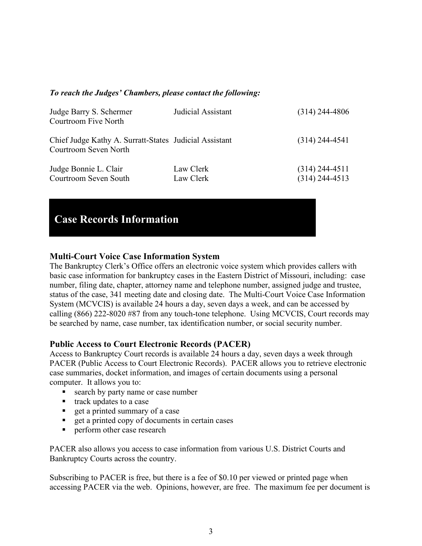#### *To reach the Judges' Chambers, please contact the following:*

| Judge Barry S. Schermer<br>Courtroom Five North                                 | Judicial Assistant     | $(314)$ 244-4806                     |
|---------------------------------------------------------------------------------|------------------------|--------------------------------------|
| Chief Judge Kathy A. Surratt-States Judicial Assistant<br>Courtroom Seven North |                        | $(314)$ 244-4541                     |
| Judge Bonnie L. Clair<br>Courtroom Seven South                                  | Law Clerk<br>Law Clerk | $(314)$ 244-4511<br>$(314)$ 244-4513 |

## **Case Records Information**

## <span id="page-9-0"></span>**Multi-Court Voice Case Information System**

The Bankruptcy Clerk's Office offers an electronic voice system which provides callers with basic case information for bankruptcy cases in the Eastern District of Missouri, including: case number, filing date, chapter, attorney name and telephone number, assigned judge and trustee, status of the case, 341 meeting date and closing date. The Multi-Court Voice Case Information System (MCVCIS) is available 24 hours a day, seven days a week, and can be accessed by calling (866) 222-8020 #87 from any touch-tone telephone. Using MCVCIS, Court records may be searched by name, case number, tax identification number, or social security number.

## <span id="page-9-1"></span>**Public Access to Court Electronic Records (PACER)**

Access to Bankruptcy Court records is available 24 hours a day, seven days a week through PACER (Public Access to Court Electronic Records). PACER allows you to retrieve electronic case summaries, docket information, and images of certain documents using a personal computer. It allows you to:

- search by party name or case number
- track updates to a case
- get a printed summary of a case
- get a printed copy of documents in certain cases
- **Perform other case research**

PACER also allows you access to case information from various U.S. District Courts and Bankruptcy Courts across the country.

Subscribing to PACER is free, but there is a fee of \$0.10 per viewed or printed page when accessing PACER via the web. Opinions, however, are free. The maximum fee per document is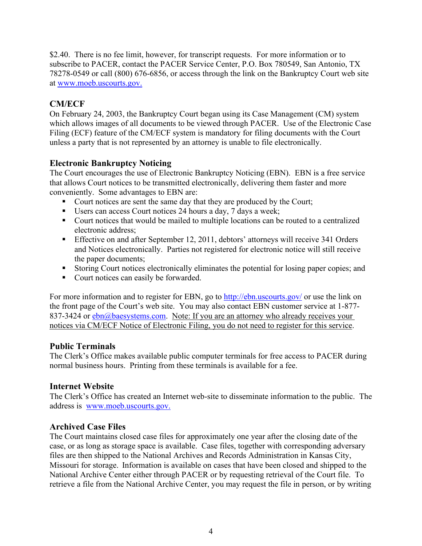\$2.40. There is no fee limit, however, for transcript requests. For more information or to subscribe to PACER, contact the PACER Service Center, P.O. Box 780549, San Antonio, TX 78278-0549 or call (800) 676-6856, or access through the link on the Bankruptcy Court web site at www.moeb.uscourts.gov.

## <span id="page-10-0"></span>**CM/ECF**

On February 24, 2003, the Bankruptcy Court began using its Case Management (CM) system which allows images of all documents to be viewed through PACER. Use of the Electronic Case Filing (ECF) feature of the CM/ECF system is mandatory for filing documents with the Court unless a party that is not represented by an attorney is unable to file electronically.

## <span id="page-10-1"></span>**Electronic Bankruptcy Noticing**

The Court encourages the use of Electronic Bankruptcy Noticing (EBN). EBN is a free service that allows Court notices to be transmitted electronically, delivering them faster and more conveniently. Some advantages to EBN are:

- Court notices are sent the same day that they are produced by the Court;
- Users can access Court notices 24 hours a day, 7 days a week;
- Court notices that would be mailed to multiple locations can be routed to a centralized electronic address;
- **Effective on and after September 12, 2011, debtors' attorneys will receive 341 Orders** and Notices electronically. Parties not registered for electronic notice will still receive the paper documents;
- Storing Court notices electronically eliminates the potential for losing paper copies; and
- Court notices can easily be forwarded.

For more information and to register for EBN, go to<http://ebn.uscourts.gov/>or use the link on the front page of the Court's web site. You may also contact EBN customer service at 1-877- 837-3424 or  $ebn(a)$ baesystems.com. Note: If you are an attorney who already receives your notices via CM/ECF Notice of Electronic Filing, you do not need to register for this service.

## <span id="page-10-2"></span>**Public Terminals**

The Clerk's Office makes available public computer terminals for free access to PACER during normal business hours. Printing from these terminals is available for a fee.

## <span id="page-10-3"></span>**Internet Website**

The Clerk's Office has created an Internet web-site to disseminate information to the public. The address is www.moeb.uscourts.gov.

## <span id="page-10-4"></span>**Archived Case Files**

The Court maintains closed case files for approximately one year after the closing date of the case, or as long as storage space is available. Case files, together with corresponding adversary files are then shipped to the National Archives and Records Administration in Kansas City, Missouri for storage. Information is available on cases that have been closed and shipped to the National Archive Center either through PACER or by requesting retrieval of the Court file. To retrieve a file from the National Archive Center, you may request the file in person, or by writing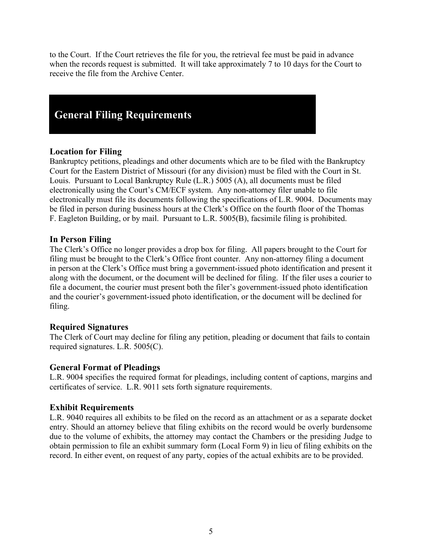to the Court. If the Court retrieves the file for you, the retrieval fee must be paid in advance when the records request is submitted. It will take approximately 7 to 10 days for the Court to receive the file from the Archive Center.

## **General Filing Requirements**

## <span id="page-11-0"></span>**Location for Filing**

Bankruptcy petitions, pleadings and other documents which are to be filed with the Bankruptcy Court for the Eastern District of Missouri (for any division) must be filed with the Court in St. Louis. Pursuant to Local Bankruptcy Rule (L.R.) 5005 (A), all documents must be filed electronically using the Court's CM/ECF system. Any non-attorney filer unable to file electronically must file its documents following the specifications of L.R. 9004. Documents may be filed in person during business hours at the Clerk's Office on the fourth floor of the Thomas F. Eagleton Building, or by mail. Pursuant to L.R. 5005(B), facsimile filing is prohibited.

## <span id="page-11-1"></span>**In Person Filing**

The Clerk's Office no longer provides a drop box for filing. All papers brought to the Court for filing must be brought to the Clerk's Office front counter. Any non-attorney filing a document in person at the Clerk's Office must bring a government-issued photo identification and present it along with the document, or the document will be declined for filing. If the filer uses a courier to file a document, the courier must present both the filer's government-issued photo identification and the courier's government-issued photo identification, or the document will be declined for filing.

## <span id="page-11-2"></span>**Required Signatures**

The Clerk of Court may decline for filing any petition, pleading or document that fails to contain required signatures. L.R. 5005(C).

## <span id="page-11-3"></span>**General Format of Pleadings**

L.R. 9004 specifies the required format for pleadings, including content of captions, margins and certificates of service. L.R. 9011 sets forth signature requirements.

## <span id="page-11-4"></span>**Exhibit Requirements**

L.R. 9040 requires all exhibits to be filed on the record as an attachment or as a separate docket entry. Should an attorney believe that filing exhibits on the record would be overly burdensome due to the volume of exhibits, the attorney may contact the Chambers or the presiding Judge to obtain permission to file an exhibit summary form (Local Form 9) in lieu of filing exhibits on the record. In either event, on request of any party, copies of the actual exhibits are to be provided.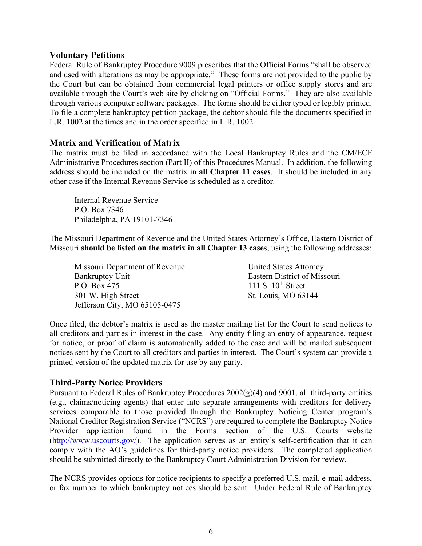#### <span id="page-12-0"></span>**Voluntary Petitions**

Federal Rule of Bankruptcy Procedure 9009 prescribes that the Official Forms "shall be observed and used with alterations as may be appropriate." These forms are not provided to the public by the Court but can be obtained from commercial legal printers or office supply stores and are available through the Court's web site by clicking on "Official Forms." They are also available through various computer software packages. The forms should be either typed or legibly printed. To file a complete bankruptcy petition package, the debtor should file the documents specified in L.R. 1002 at the times and in the order specified in L.R. 1002.

## <span id="page-12-1"></span>**Matrix and Verification of Matrix**

The matrix must be filed in accordance with the Local Bankruptcy Rules and the CM/ECF Administrative Procedures section (Part II) of this Procedures Manual. In addition, the following address should be included on the matrix in **all Chapter 11 cases**. It should be included in any other case if the Internal Revenue Service is scheduled as a creditor.

Internal Revenue Service P.O. Box 7346 Philadelphia, PA 19101-7346

The Missouri Department of Revenue and the United States Attorney's Office, Eastern District of Missouri **should be listed on the matrix in all Chapter 13 case**s, using the following addresses:

Missouri Department of Revenue United States Attorney Bankruptcy Unit Eastern District of Missouri P.O. Box  $\overline{475}$  111 S. 10<sup>th</sup> Street 301 W. High Street St. Louis, MO 63144 Jefferson City, MO 65105-0475

Once filed, the debtor's matrix is used as the master mailing list for the Court to send notices to all creditors and parties in interest in the case. Any entity filing an entry of appearance, request for notice, or proof of claim is automatically added to the case and will be mailed subsequent notices sent by the Court to all creditors and parties in interest. The Court's system can provide a printed version of the updated matrix for use by any party.

#### <span id="page-12-2"></span>**Third-Party Notice Providers**

Pursuant to Federal Rules of Bankruptcy Procedures 2002(g)(4) and 9001, all third-party entities (e.g., claims/noticing agents) that enter into separate arrangements with creditors for delivery services comparable to those provided through the Bankruptcy Noticing Center program's National Creditor Registration Service ("NCRS") are required to complete the Bankruptcy Notice Provider application found in the Forms section of the U.S. Courts website (http://www.uscourts.gov/). The application serves as an entity's self-certification that it can comply with the AO's guidelines for third-party notice providers. The completed application should be submitted directly to the Bankruptcy Court Administration Division for review.

The NCRS provides options for notice recipients to specify a preferred U.S. mail, e-mail address, or fax number to which bankruptcy notices should be sent. Under Federal Rule of Bankruptcy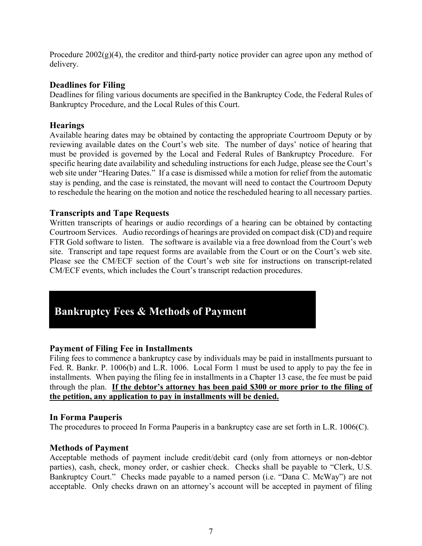Procedure  $2002(g)(4)$ , the creditor and third-party notice provider can agree upon any method of delivery.

## <span id="page-13-0"></span>**Deadlines for Filing**

Deadlines for filing various documents are specified in the Bankruptcy Code, the Federal Rules of Bankruptcy Procedure, and the Local Rules of this Court.

## <span id="page-13-1"></span>**Hearings**

Available hearing dates may be obtained by contacting the appropriate Courtroom Deputy or by reviewing available dates on the Court's web site. The number of days' notice of hearing that must be provided is governed by the Local and Federal Rules of Bankruptcy Procedure. For specific hearing date availability and scheduling instructions for each Judge, please see the Court's web site under "Hearing Dates." If a case is dismissed while a motion for relief from the automatic stay is pending, and the case is reinstated, the movant will need to contact the Courtroom Deputy to reschedule the hearing on the motion and notice the rescheduled hearing to all necessary parties.

## <span id="page-13-2"></span>**Transcripts and Tape Requests**

Written transcripts of hearings or audio recordings of a hearing can be obtained by contacting Courtroom Services. Audio recordings of hearings are provided on compact disk (CD) and require FTR Gold software to listen. The software is available via a free download from the Court's web site. Transcript and tape request forms are available from the Court or on the Court's web site. Please see the CM/ECF section of the Court's web site for instructions on transcript-related CM/ECF events, which includes the Court's transcript redaction procedures.

## **Bankruptcy Fees & Methods of Payment**

## <span id="page-13-3"></span>**Payment of Filing Fee in Installments**

Filing fees to commence a bankruptcy case by individuals may be paid in installments pursuant to Fed. R. Bankr. P. 1006(b) and L.R. 1006. Local Form 1 must be used to apply to pay the fee in installments. When paying the filing fee in installments in a Chapter 13 case, the fee must be paid through the plan. **If the debtor's attorney has been paid \$300 or more prior to the filing of the petition, any application to pay in installments will be denied.**

## <span id="page-13-4"></span>**In Forma Pauperis**

The procedures to proceed In Forma Pauperis in a bankruptcy case are set forth in L.R. 1006(C).

## <span id="page-13-5"></span>**Methods of Payment**

Acceptable methods of payment include credit/debit card (only from attorneys or non-debtor parties), cash, check, money order, or cashier check. Checks shall be payable to "Clerk, U.S. Bankruptcy Court." Checks made payable to a named person (i.e. "Dana C. McWay") are not acceptable. Only checks drawn on an attorney's account will be accepted in payment of filing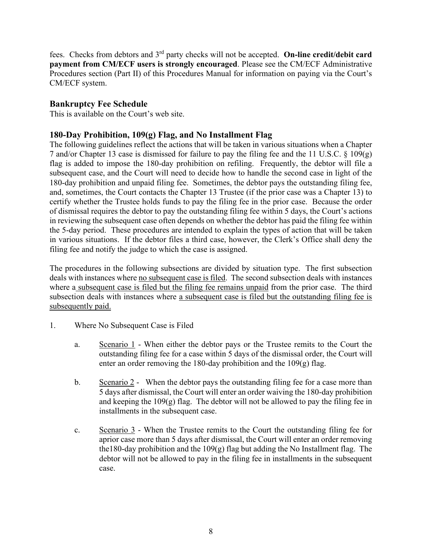fees. Checks from debtors and 3rd party checks will not be accepted. **On-line credit/debit card payment from CM/ECF users is strongly encouraged**. Please see the CM/ECF Administrative Procedures section (Part II) of this Procedures Manual for information on paying via the Court's CM/ECF system.

## <span id="page-14-0"></span>**Bankruptcy Fee Schedule**

This is available on the Court's web site.

## <span id="page-14-1"></span>**180-Day Prohibition, 109(g) Flag, and No Installment Flag**

The following guidelines reflect the actions that will be taken in various situations when a Chapter 7 and/or Chapter 13 case is dismissed for failure to pay the filing fee and the 11 U.S.C. § 109(g) flag is added to impose the 180-day prohibition on refiling. Frequently, the debtor will file a subsequent case, and the Court will need to decide how to handle the second case in light of the 180-day prohibition and unpaid filing fee. Sometimes, the debtor pays the outstanding filing fee, and, sometimes, the Court contacts the Chapter 13 Trustee (if the prior case was a Chapter 13) to certify whether the Trustee holds funds to pay the filing fee in the prior case. Because the order of dismissal requires the debtor to pay the outstanding filing fee within 5 days, the Court's actions in reviewing the subsequent case often depends on whether the debtor has paid the filing fee within the 5-day period. These procedures are intended to explain the types of action that will be taken in various situations. If the debtor files a third case, however, the Clerk's Office shall deny the filing fee and notify the judge to which the case is assigned.

The procedures in the following subsections are divided by situation type. The first subsection deals with instances where no subsequent case is filed. The second subsection deals with instances where a subsequent case is filed but the filing fee remains unpaid from the prior case. The third subsection deals with instances where a subsequent case is filed but the outstanding filing fee is subsequently paid.

- 1. Where No Subsequent Case is Filed
	- a. Scenario 1 When either the debtor pays or the Trustee remits to the Court the outstanding filing fee for a case within 5 days of the dismissal order, the Court will enter an order removing the 180-day prohibition and the 109(g) flag.
	- b. Scenario 2 When the debtor pays the outstanding filing fee for a case more than 5 days after dismissal, the Court will enter an order waiving the 180-day prohibition and keeping the 109(g) flag. The debtor will not be allowed to pay the filing fee in installments in the subsequent case.
	- c. Scenario  $\frac{3}{5}$  When the Trustee remits to the Court the outstanding filing fee for aprior case more than 5 days after dismissal, the Court will enter an order removing the180-day prohibition and the 109(g) flag but adding the No Installment flag. The debtor will not be allowed to pay in the filing fee in installments in the subsequent case.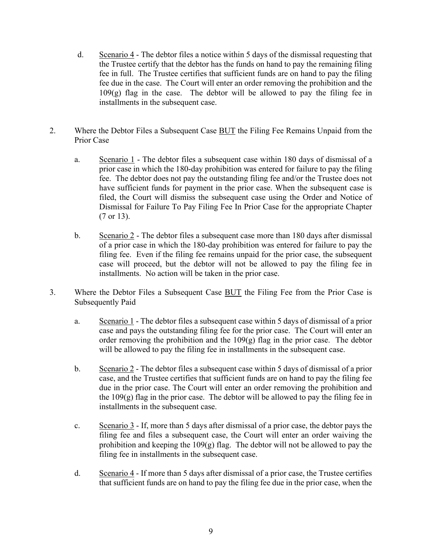- d. Scenario 4 The debtor files a notice within 5 days of the dismissal requesting that the Trustee certify that the debtor has the funds on hand to pay the remaining filing fee in full. The Trustee certifies that sufficient funds are on hand to pay the filing fee due in the case. The Court will enter an order removing the prohibition and the  $109(g)$  flag in the case. The debtor will be allowed to pay the filing fee in installments in the subsequent case.
- 2. Where the Debtor Files a Subsequent Case **BUT** the Filing Fee Remains Unpaid from the Prior Case
	- a. Scenario 1 The debtor files a subsequent case within 180 days of dismissal of a prior case in which the 180-day prohibition was entered for failure to pay the filing fee. The debtor does not pay the outstanding filing fee and/or the Trustee does not have sufficient funds for payment in the prior case. When the subsequent case is filed, the Court will dismiss the subsequent case using the Order and Notice of Dismissal for Failure To Pay Filing Fee In Prior Case for the appropriate Chapter (7 or 13).
	- b. Scenario 2 The debtor files a subsequent case more than 180 days after dismissal of a prior case in which the 180-day prohibition was entered for failure to pay the filing fee. Even if the filing fee remains unpaid for the prior case, the subsequent case will proceed, but the debtor will not be allowed to pay the filing fee in installments. No action will be taken in the prior case.
- 3. Where the Debtor Files a Subsequent Case BUT the Filing Fee from the Prior Case is Subsequently Paid
	- a. Scenario  $1$  The debtor files a subsequent case within 5 days of dismissal of a prior case and pays the outstanding filing fee for the prior case. The Court will enter an order removing the prohibition and the  $109(g)$  flag in the prior case. The debtor will be allowed to pay the filing fee in installments in the subsequent case.
	- b. Scenario 2 The debtor files a subsequent case within 5 days of dismissal of a prior case, and the Trustee certifies that sufficient funds are on hand to pay the filing fee due in the prior case. The Court will enter an order removing the prohibition and the  $109(g)$  flag in the prior case. The debtor will be allowed to pay the filing fee in installments in the subsequent case.
	- c. Scenario 3 If, more than 5 days after dismissal of a prior case, the debtor pays the filing fee and files a subsequent case, the Court will enter an order waiving the prohibition and keeping the  $109(g)$  flag. The debtor will not be allowed to pay the filing fee in installments in the subsequent case.
	- d. Scenario 4 If more than 5 days after dismissal of a prior case, the Trustee certifies that sufficient funds are on hand to pay the filing fee due in the prior case, when the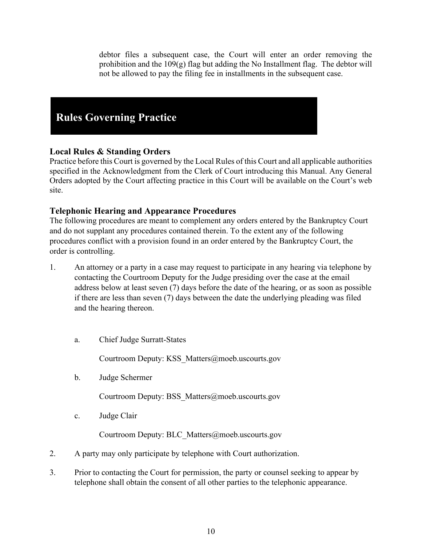debtor files a subsequent case, the Court will enter an order removing the prohibition and the 109(g) flag but adding the No Installment flag. The debtor will not be allowed to pay the filing fee in installments in the subsequent case.

## **Rules Governing Practice**

## <span id="page-16-0"></span>**Local Rules & Standing Orders**

Practice before this Court is governed by the Local Rules of this Court and all applicable authorities specified in the Acknowledgment from the Clerk of Court introducing this Manual. Any General Orders adopted by the Court affecting practice in this Court will be available on the Court's web site.

## <span id="page-16-1"></span>**Telephonic Hearing and Appearance Procedures**

The following procedures are meant to complement any orders entered by the Bankruptcy Court and do not supplant any procedures contained therein. To the extent any of the following procedures conflict with a provision found in an order entered by the Bankruptcy Court, the order is controlling.

- 1. An attorney or a party in a case may request to participate in any hearing via telephone by contacting the Courtroom Deputy for the Judge presiding over the case at the email address below at least seven (7) days before the date of the hearing, or as soon as possible if there are less than seven (7) days between the date the underlying pleading was filed and the hearing thereon.
	- a. Chief Judge Surratt-States

Courtroom Deputy: KSS\_Matters@moeb.uscourts.gov

b. Judge Schermer

Courtroom Deputy: BSS\_Matters@moeb.uscourts.gov

c. Judge Clair

Courtroom Deputy: BLC\_Matters@moeb.uscourts.gov

- 2. A party may only participate by telephone with Court authorization.
- 3. Prior to contacting the Court for permission, the party or counsel seeking to appear by telephone shall obtain the consent of all other parties to the telephonic appearance.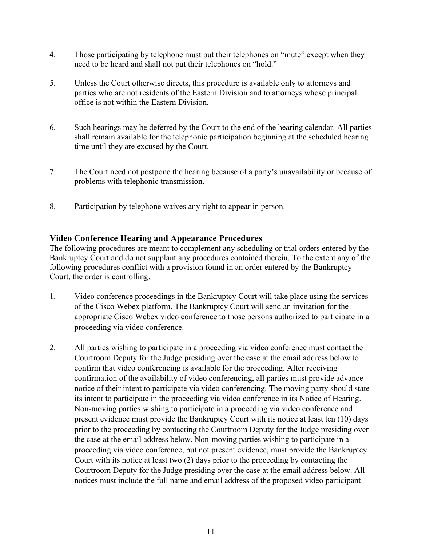- 4. Those participating by telephone must put their telephones on "mute" except when they need to be heard and shall not put their telephones on "hold."
- 5. Unless the Court otherwise directs, this procedure is available only to attorneys and parties who are not residents of the Eastern Division and to attorneys whose principal office is not within the Eastern Division.
- 6. Such hearings may be deferred by the Court to the end of the hearing calendar. All parties shall remain available for the telephonic participation beginning at the scheduled hearing time until they are excused by the Court.
- 7. The Court need not postpone the hearing because of a party's unavailability or because of problems with telephonic transmission.
- 8. Participation by telephone waives any right to appear in person.

## <span id="page-17-0"></span>**Video Conference Hearing and Appearance Procedures**

The following procedures are meant to complement any scheduling or trial orders entered by the Bankruptcy Court and do not supplant any procedures contained therein. To the extent any of the following procedures conflict with a provision found in an order entered by the Bankruptcy Court, the order is controlling.

- 1. Video conference proceedings in the Bankruptcy Court will take place using the services of the Cisco Webex platform. The Bankruptcy Court will send an invitation for the appropriate Cisco Webex video conference to those persons authorized to participate in a proceeding via video conference.
- 2. All parties wishing to participate in a proceeding via video conference must contact the Courtroom Deputy for the Judge presiding over the case at the email address below to confirm that video conferencing is available for the proceeding. After receiving confirmation of the availability of video conferencing, all parties must provide advance notice of their intent to participate via video conferencing. The moving party should state its intent to participate in the proceeding via video conference in its Notice of Hearing. Non-moving parties wishing to participate in a proceeding via video conference and present evidence must provide the Bankruptcy Court with its notice at least ten (10) days prior to the proceeding by contacting the Courtroom Deputy for the Judge presiding over the case at the email address below. Non-moving parties wishing to participate in a proceeding via video conference, but not present evidence, must provide the Bankruptcy Court with its notice at least two (2) days prior to the proceeding by contacting the Courtroom Deputy for the Judge presiding over the case at the email address below. All notices must include the full name and email address of the proposed video participant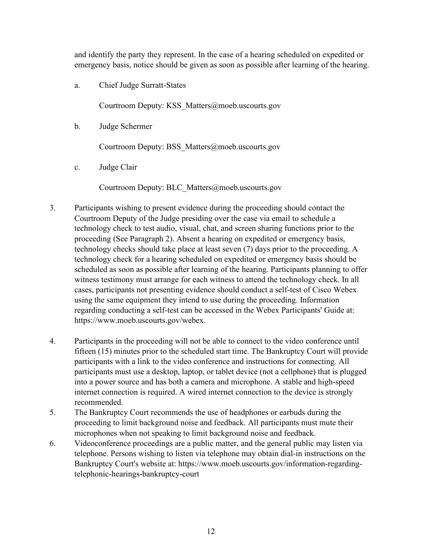and identify the party they represent. In the case of a hearing scheduled on expedited or emergency basis, notice should be given as soon as possible after learning of the hearing.

a. Chief Judge Surratt-States

Courtroom Deputy: KSS\_Matters@moeb.uscourts.gov

b. Judge Schermer

Courtroom Deputy: BSS\_Matters@moeb.uscourts.gov

c. Judge Clair

Courtroom Deputy: BLC\_Matters@moeb.uscourts.gov

- 3. Participants wishing to present evidence during the proceeding should contact the Courtroom Deputy of the Judge presiding over the case via email to schedule a technology check to test audio, visual, chat, and screen sharing functions prior to the proceeding (See Paragraph 2). Absent a hearing on expedited or emergency basis, technology checks should take place at least seven (7) days prior to the proceeding. A technology check for a hearing scheduled on expedited or emergency basis should be scheduled as soon as possible after learning of the hearing. Participants planning to offer witness testimony must arrange for each witness to attend the technology check. In all cases, participants not presenting evidence should conduct a self-test of Cisco Webex using the same equipment they intend to use during the proceeding. Information regarding conducting a self-test can be accessed in the Webex Participants' Guide at: https://www.moeb.uscourts.gov/webex.
- 4. Participants in the proceeding will not be able to connect to the video conference until fifteen (15) minutes prior to the scheduled start time. The Bankruptcy Court will provide participants with a link to the video conference and instructions for connecting. All participants must use a desktop, laptop, or tablet device (not a cellphone) that is plugged into a power source and has both a camera and microphone. A stable and high-speed internet connection is required. A wired internet connection to the device is strongly recommended.
- 5. The Bankruptcy Court recommends the use of headphones or earbuds during the proceeding to limit background noise and feedback. All participants must mute their microphones when not speaking to limit background noise and feedback.
- 6. Videoconference proceedings are a public matter, and the general public may listen via telephone. Persons wishing to listen via telephone may obtain dial-in instructions on the Bankruptcy Court's website at: https://www.moeb.uscourts.gov/information-regardingtelephonic-hearings-bankruptcy-court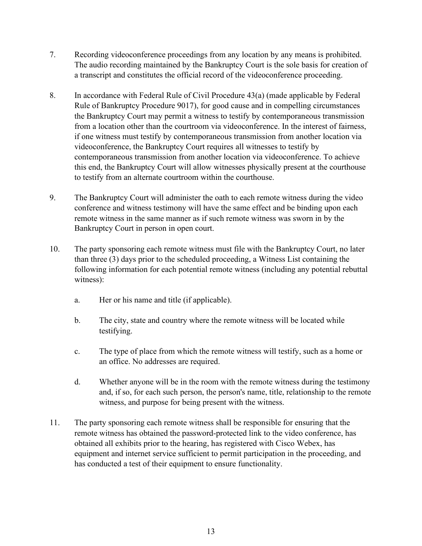- 7. Recording videoconference proceedings from any location by any means is prohibited. The audio recording maintained by the Bankruptcy Court is the sole basis for creation of a transcript and constitutes the official record of the videoconference proceeding.
- 8. In accordance with Federal Rule of Civil Procedure 43(a) (made applicable by Federal Rule of Bankruptcy Procedure 9017), for good cause and in compelling circumstances the Bankruptcy Court may permit a witness to testify by contemporaneous transmission from a location other than the courtroom via videoconference. In the interest of fairness, if one witness must testify by contemporaneous transmission from another location via videoconference, the Bankruptcy Court requires all witnesses to testify by contemporaneous transmission from another location via videoconference. To achieve this end, the Bankruptcy Court will allow witnesses physically present at the courthouse to testify from an alternate courtroom within the courthouse.
- 9. The Bankruptcy Court will administer the oath to each remote witness during the video conference and witness testimony will have the same effect and be binding upon each remote witness in the same manner as if such remote witness was sworn in by the Bankruptcy Court in person in open court.
- 10. The party sponsoring each remote witness must file with the Bankruptcy Court, no later than three (3) days prior to the scheduled proceeding, a Witness List containing the following information for each potential remote witness (including any potential rebuttal witness):
	- a. Her or his name and title (if applicable).
	- b. The city, state and country where the remote witness will be located while testifying.
	- c. The type of place from which the remote witness will testify, such as a home or an office. No addresses are required.
	- d. Whether anyone will be in the room with the remote witness during the testimony and, if so, for each such person, the person's name, title, relationship to the remote witness, and purpose for being present with the witness.
- 11. The party sponsoring each remote witness shall be responsible for ensuring that the remote witness has obtained the password-protected link to the video conference, has obtained all exhibits prior to the hearing, has registered with Cisco Webex, has equipment and internet service sufficient to permit participation in the proceeding, and has conducted a test of their equipment to ensure functionality.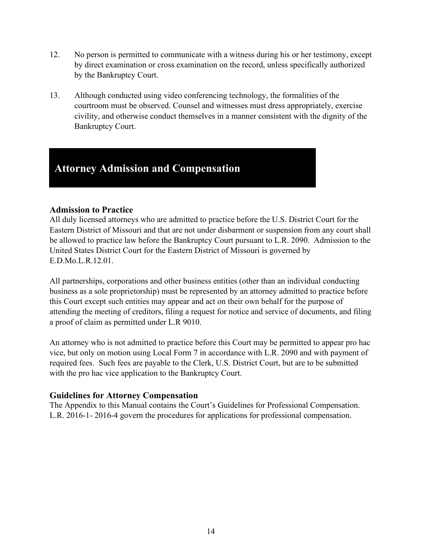- 12. No person is permitted to communicate with a witness during his or her testimony, except by direct examination or cross examination on the record, unless specifically authorized by the Bankruptcy Court.
- 13. Although conducted using video conferencing technology, the formalities of the courtroom must be observed. Counsel and witnesses must dress appropriately, exercise civility, and otherwise conduct themselves in a manner consistent with the dignity of the Bankruptcy Court.

## **Attorney Admission and Compensation**

## <span id="page-20-0"></span>**Admission to Practice**

All duly licensed attorneys who are admitted to practice before the U.S. District Court for the Eastern District of Missouri and that are not under disbarment or suspension from any court shall be allowed to practice law before the Bankruptcy Court pursuant to L.R. 2090. Admission to the United States District Court for the Eastern District of Missouri is governed by E.D.Mo.L.R.12.01.

All partnerships, corporations and other business entities (other than an individual conducting business as a sole proprietorship) must be represented by an attorney admitted to practice before this Court except such entities may appear and act on their own behalf for the purpose of attending the meeting of creditors, filing a request for notice and service of documents, and filing a proof of claim as permitted under L.R 9010.

An attorney who is not admitted to practice before this Court may be permitted to appear pro hac vice, but only on motion using Local Form 7 in accordance with L.R. 2090 and with payment of required fees. Such fees are payable to the Clerk, U.S. District Court, but are to be submitted with the pro hac vice application to the Bankruptcy Court.

## <span id="page-20-1"></span>**Guidelines for Attorney Compensation**

The Appendix to this Manual contains the Court's Guidelines for Professional Compensation. L.R. 2016-1- 2016-4 govern the procedures for applications for professional compensation.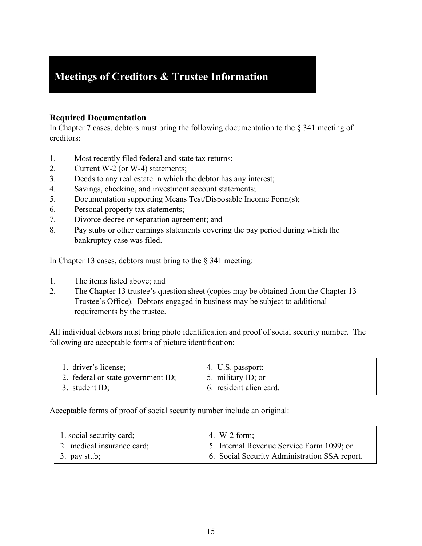## **Meetings of Creditors & Trustee Information**

## <span id="page-21-0"></span>**Required Documentation**

In Chapter 7 cases, debtors must bring the following documentation to the § 341 meeting of creditors:

- 1. Most recently filed federal and state tax returns;
- 2. Current W-2 (or W-4) statements;
- 3. Deeds to any real estate in which the debtor has any interest;
- 4. Savings, checking, and investment account statements;
- 5. Documentation supporting Means Test/Disposable Income Form(s);
- 6. Personal property tax statements;
- 7. Divorce decree or separation agreement; and
- 8. Pay stubs or other earnings statements covering the pay period during which the bankruptcy case was filed.

In Chapter 13 cases, debtors must bring to the § 341 meeting:

- 1. The items listed above; and
- 2. The Chapter 13 trustee's question sheet (copies may be obtained from the Chapter 13 Trustee's Office). Debtors engaged in business may be subject to additional requirements by the trustee.

All individual debtors must bring photo identification and proof of social security number. The following are acceptable forms of picture identification:

| 1. driver's license;               | $\vert$ 4. U.S. passport;            |
|------------------------------------|--------------------------------------|
| 2. federal or state government ID; | $\vert$ 5. military ID; or           |
| 3. student ID;                     | <sup>1</sup> 6. resident alien card. |

Acceptable forms of proof of social security number include an original:

| 1. social security card;   | 4. W-2 form;                                  |
|----------------------------|-----------------------------------------------|
| 2. medical insurance card; | 5. Internal Revenue Service Form 1099; or     |
| 3. pay stub;               | 6. Social Security Administration SSA report. |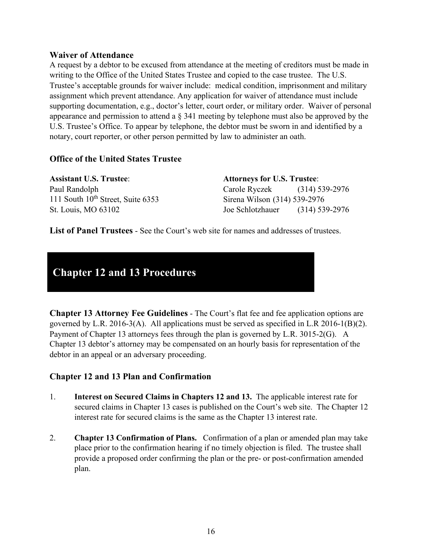#### <span id="page-22-0"></span>**Waiver of Attendance**

A request by a debtor to be excused from attendance at the meeting of creditors must be made in writing to the Office of the United States Trustee and copied to the case trustee. The U.S. Trustee's acceptable grounds for waiver include: medical condition, imprisonment and military assignment which prevent attendance. Any application for waiver of attendance must include supporting documentation, e.g., doctor's letter, court order, or military order. Waiver of personal appearance and permission to attend a § 341 meeting by telephone must also be approved by the U.S. Trustee's Office. To appear by telephone, the debtor must be sworn in and identified by a notary, court reporter, or other person permitted by law to administer an oath.

## <span id="page-22-1"></span>**Office of the United States Trustee**

| <b>Assistant U.S. Trustee:</b>         | <b>Attorneys for U.S. Trustee:</b> |                  |
|----------------------------------------|------------------------------------|------------------|
| Paul Randolph                          | Carole Ryczek (314) 539-2976       |                  |
| 111 South $10^{th}$ Street, Suite 6353 | Sirena Wilson (314) 539-2976       |                  |
| St. Louis, MO 63102                    | Joe Schlotzhauer                   | $(314)$ 539-2976 |

<span id="page-22-2"></span>**List of Panel Trustees** - See the Court's web site for names and addresses of trustees.

## **Chapter 12 and 13 Procedures**

<span id="page-22-3"></span>**Chapter 13 Attorney Fee Guidelines** - The Court's flat fee and fee application options are governed by L.R. 2016-3(A). All applications must be served as specified in L.R 2016-1(B)(2). Payment of Chapter 13 attorneys fees through the plan is governed by L.R. 3015-2(G). A Chapter 13 debtor's attorney may be compensated on an hourly basis for representation of the debtor in an appeal or an adversary proceeding.

## <span id="page-22-4"></span>**Chapter 12 and 13 Plan and Confirmation**

- 1. **Interest on Secured Claims in Chapters 12 and 13.** The applicable interest rate for secured claims in Chapter 13 cases is published on the Court's web site. The Chapter 12 interest rate for secured claims is the same as the Chapter 13 interest rate.
- 2. **Chapter 13 Confirmation of Plans.** Confirmation of a plan or amended plan may take place prior to the confirmation hearing if no timely objection is filed. The trustee shall provide a proposed order confirming the plan or the pre- or post-confirmation amended plan.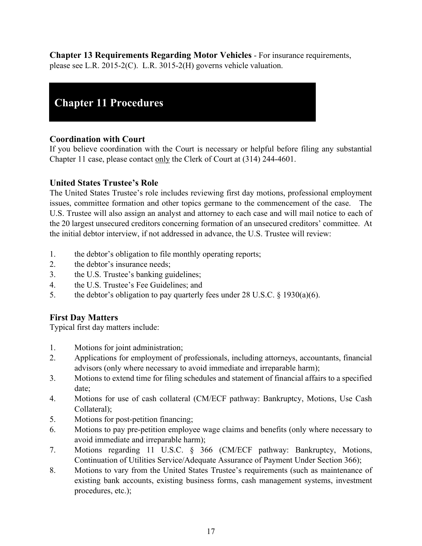<span id="page-23-0"></span>**Chapter 13 Requirements Regarding Motor Vehicles** - For insurance requirements, please see L.R. 2015-2(C). L.R. 3015-2(H) governs vehicle valuation.

## **Chapter 11 Procedures**

## <span id="page-23-1"></span>**Coordination with Court**

If you believe coordination with the Court is necessary or helpful before filing any substantial Chapter 11 case, please contact only the Clerk of Court at (314) 244-4601.

## <span id="page-23-2"></span>**United States Trustee's Role**

The United States Trustee's role includes reviewing first day motions, professional employment issues, committee formation and other topics germane to the commencement of the case. The U.S. Trustee will also assign an analyst and attorney to each case and will mail notice to each of the 20 largest unsecured creditors concerning formation of an unsecured creditors' committee. At the initial debtor interview, if not addressed in advance, the U.S. Trustee will review:

- 1. the debtor's obligation to file monthly operating reports;
- 2. the debtor's insurance needs;
- 3. the U.S. Trustee's banking guidelines;
- 4. the U.S. Trustee's Fee Guidelines; and
- 5. the debtor's obligation to pay quarterly fees under 28 U.S.C. § 1930(a)(6).

## <span id="page-23-3"></span>**First Day Matters**

Typical first day matters include:

- 1. Motions for joint administration;
- 2. Applications for employment of professionals, including attorneys, accountants, financial advisors (only where necessary to avoid immediate and irreparable harm);
- 3. Motions to extend time for filing schedules and statement of financial affairs to a specified date;
- 4. Motions for use of cash collateral (CM/ECF pathway: Bankruptcy, Motions, Use Cash Collateral);
- 5. Motions for post-petition financing;
- 6. Motions to pay pre-petition employee wage claims and benefits (only where necessary to avoid immediate and irreparable harm);
- 7. Motions regarding 11 U.S.C. § 366 (CM/ECF pathway: Bankruptcy, Motions, Continuation of Utilities Service/Adequate Assurance of Payment Under Section 366);
- 8. Motions to vary from the United States Trustee's requirements (such as maintenance of existing bank accounts, existing business forms, cash management systems, investment procedures, etc.);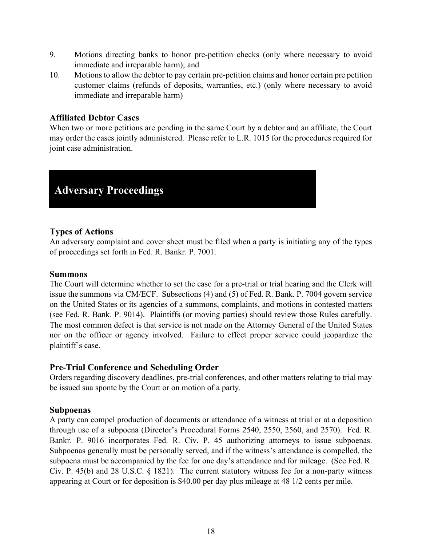- 9. Motions directing banks to honor pre-petition checks (only where necessary to avoid immediate and irreparable harm); and
- 10. Motions to allow the debtor to pay certain pre-petition claims and honor certain pre petition customer claims (refunds of deposits, warranties, etc.) (only where necessary to avoid immediate and irreparable harm)

#### <span id="page-24-0"></span>**Affiliated Debtor Cases**

When two or more petitions are pending in the same Court by a debtor and an affiliate, the Court may order the cases jointly administered. Please refer to L.R. 1015 for the procedures required for joint case administration.

## **Adversary Proceedings**

#### <span id="page-24-1"></span>**Types of Actions**

An adversary complaint and cover sheet must be filed when a party is initiating any of the types of proceedings set forth in Fed. R. Bankr. P. 7001.

#### <span id="page-24-2"></span>**Summons**

The Court will determine whether to set the case for a pre-trial or trial hearing and the Clerk will issue the summons via CM/ECF. Subsections (4) and (5) of Fed. R. Bank. P. 7004 govern service on the United States or its agencies of a summons, complaints, and motions in contested matters (see Fed. R. Bank. P. 9014). Plaintiffs (or moving parties) should review those Rules carefully. The most common defect is that service is not made on the Attorney General of the United States nor on the officer or agency involved. Failure to effect proper service could jeopardize the plaintiff's case.

## <span id="page-24-3"></span>**Pre-Trial Conference and Scheduling Order**

Orders regarding discovery deadlines, pre-trial conferences, and other matters relating to trial may be issued sua sponte by the Court or on motion of a party.

#### <span id="page-24-4"></span>**Subpoenas**

A party can compel production of documents or attendance of a witness at trial or at a deposition through use of a subpoena (Director's Procedural Forms 2540, 2550, 2560, and 2570). Fed. R. Bankr. P. 9016 incorporates Fed. R. Civ. P. 45 authorizing attorneys to issue subpoenas. Subpoenas generally must be personally served, and if the witness's attendance is compelled, the subpoena must be accompanied by the fee for one day's attendance and for mileage. (See Fed. R. Civ. P. 45(b) and 28 U.S.C. § 1821). The current statutory witness fee for a non-party witness appearing at Court or for deposition is \$40.00 per day plus mileage at 48 1/2 cents per mile.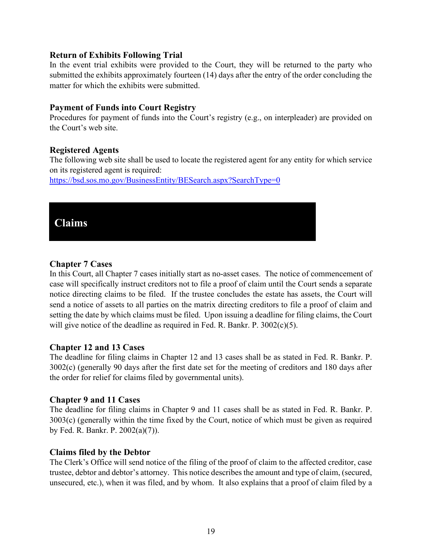#### <span id="page-25-0"></span>**Return of Exhibits Following Trial**

In the event trial exhibits were provided to the Court, they will be returned to the party who submitted the exhibits approximately fourteen (14) days after the entry of the order concluding the matter for which the exhibits were submitted.

#### <span id="page-25-1"></span>**Payment of Funds into Court Registry**

Procedures for payment of funds into the Court's registry (e.g., on interpleader) are provided on the Court's web site.

#### <span id="page-25-2"></span>**Registered Agents**

The following web site shall be used to locate the registered agent for any entity for which service on its registered agent is required:

<https://bsd.sos.mo.gov/BusinessEntity/BESearch.aspx?SearchType=0>

## **Claims**

#### <span id="page-25-3"></span>**Chapter 7 Cases**

In this Court, all Chapter 7 cases initially start as no-asset cases. The notice of commencement of case will specifically instruct creditors not to file a proof of claim until the Court sends a separate notice directing claims to be filed. If the trustee concludes the estate has assets, the Court will send a notice of assets to all parties on the matrix directing creditors to file a proof of claim and setting the date by which claims must be filed. Upon issuing a deadline for filing claims, the Court will give notice of the deadline as required in Fed. R. Bankr. P. 3002(c)(5).

#### <span id="page-25-4"></span>**Chapter 12 and 13 Cases**

The deadline for filing claims in Chapter 12 and 13 cases shall be as stated in Fed. R. Bankr. P. 3002(c) (generally 90 days after the first date set for the meeting of creditors and 180 days after the order for relief for claims filed by governmental units).

#### <span id="page-25-5"></span>**Chapter 9 and 11 Cases**

The deadline for filing claims in Chapter 9 and 11 cases shall be as stated in Fed. R. Bankr. P. 3003(c) (generally within the time fixed by the Court, notice of which must be given as required by Fed. R. Bankr. P. 2002(a)(7)).

## <span id="page-25-6"></span>**Claims filed by the Debtor**

The Clerk's Office will send notice of the filing of the proof of claim to the affected creditor, case trustee, debtor and debtor's attorney. This notice describes the amount and type of claim, (secured, unsecured, etc.), when it was filed, and by whom. It also explains that a proof of claim filed by a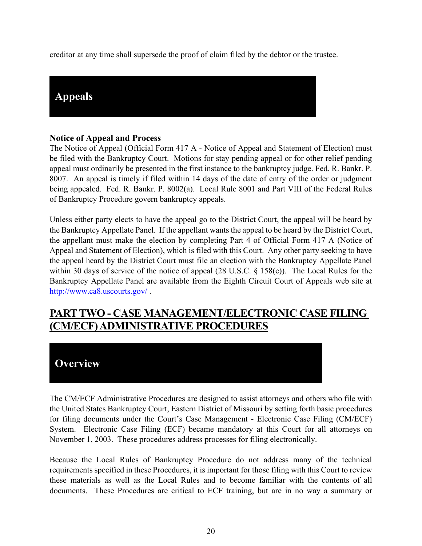creditor at any time shall supersede the proof of claim filed by the debtor or the trustee.



## <span id="page-26-0"></span>**Notice of Appeal and Process**

The Notice of Appeal (Official Form 417 A - Notice of Appeal and Statement of Election) must be filed with the Bankruptcy Court. Motions for stay pending appeal or for other relief pending appeal must ordinarily be presented in the first instance to the bankruptcy judge. Fed. R. Bankr. P. 8007. An appeal is timely if filed within 14 days of the date of entry of the order or judgment being appealed. Fed. R. Bankr. P. 8002(a). Local Rule 8001 and Part VIII of the Federal Rules of Bankruptcy Procedure govern bankruptcy appeals.

Unless either party elects to have the appeal go to the District Court, the appeal will be heard by the Bankruptcy Appellate Panel. If the appellant wants the appeal to be heard by the District Court, the appellant must make the election by completing Part 4 of Official Form 417 A (Notice of Appeal and Statement of Election), which is filed with this Court. Any other party seeking to have the appeal heard by the District Court must file an election with the Bankruptcy Appellate Panel within 30 days of service of the notice of appeal (28 U.S.C. § 158(c)). The Local Rules for the Bankruptcy Appellate Panel are available from the Eighth Circuit Court of Appeals web site at <http://www.ca8.uscourts.gov/>.

## **PART TWO - CASE MANAGEMENT/ELECTRONIC CASE FILING (CM/ECF) ADMINISTRATIVE PROCEDURES**

## **Overview**

The CM/ECF Administrative Procedures are designed to assist attorneys and others who file with the United States Bankruptcy Court, Eastern District of Missouri by setting forth basic procedures for filing documents under the Court's Case Management - Electronic Case Filing (CM/ECF) System. Electronic Case Filing (ECF) became mandatory at this Court for all attorneys on November 1, 2003. These procedures address processes for filing electronically.

Because the Local Rules of Bankruptcy Procedure do not address many of the technical requirements specified in these Procedures, it is important for those filing with this Court to review these materials as well as the Local Rules and to become familiar with the contents of all documents. These Procedures are critical to ECF training, but are in no way a summary or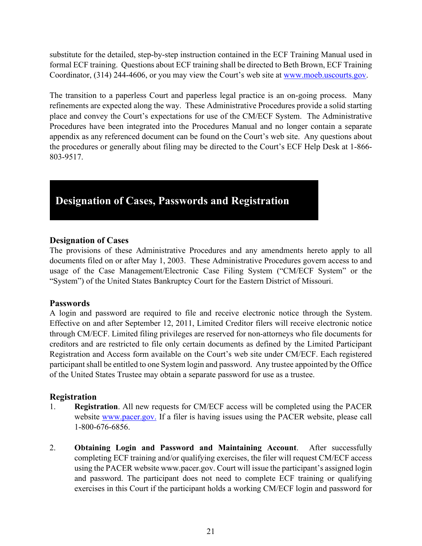substitute for the detailed, step-by-step instruction contained in the ECF Training Manual used in formal ECF training. Questions about ECF training shall be directed to Beth Brown, ECF Training Coordinator, (314) 244-4606, or you may view the Court's web site at [www.moeb.uscourts.gov.](http://www.moeb.uscourts.gov/)

The transition to a paperless Court and paperless legal practice is an on-going process. Many refinements are expected along the way. These Administrative Procedures provide a solid starting place and convey the Court's expectations for use of the CM/ECF System. The Administrative Procedures have been integrated into the Procedures Manual and no longer contain a separate appendix as any referenced document can be found on the Court's web site. Any questions about the procedures or generally about filing may be directed to the Court's ECF Help Desk at 1-866- 803-9517.

# **Designation of Cases, Passwords and Registration**

#### <span id="page-27-0"></span>**Designation of Cases**

The provisions of these Administrative Procedures and any amendments hereto apply to all documents filed on or after May 1, 2003. These Administrative Procedures govern access to and usage of the Case Management/Electronic Case Filing System ("CM/ECF System" or the "System") of the United States Bankruptcy Court for the Eastern District of Missouri.

## <span id="page-27-1"></span>**Passwords**

A login and password are required to file and receive electronic notice through the System. Effective on and after September 12, 2011, Limited Creditor filers will receive electronic notice through CM/ECF. Limited filing privileges are reserved for non-attorneys who file documents for creditors and are restricted to file only certain documents as defined by the Limited Participant Registration and Access form available on the Court's web site under CM/ECF. Each registered participant shall be entitled to one System login and password. Any trustee appointed by the Office of the United States Trustee may obtain a separate password for use as a trustee.

## <span id="page-27-2"></span>**Registration**

- 1. **Registration**. All new requests for CM/ECF access will be completed using the PACER website [www.pacer.gov.](http://www.pacer.gov./) If a filer is having issues using the PACER website, please call 1-800-676-6856.
- 2. **Obtaining Login and Password and Maintaining Account**. After successfully completing ECF training and/or qualifying exercises, the filer will request CM/ECF access using the PACER website www.pacer.gov. Court will issue the participant's assigned login and password. The participant does not need to complete ECF training or qualifying exercises in this Court if the participant holds a working CM/ECF login and password for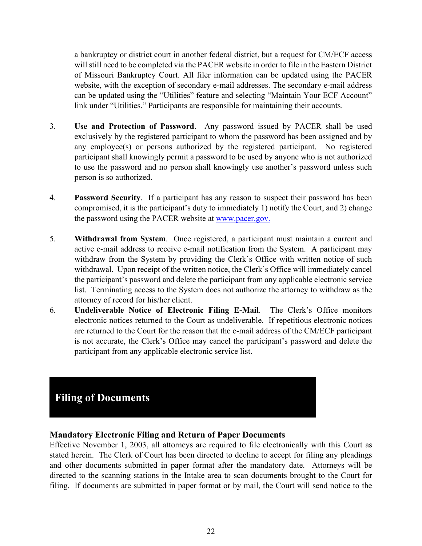a bankruptcy or district court in another federal district, but a request for CM/ECF access will still need to be completed via the PACER website in order to file in the Eastern District of Missouri Bankruptcy Court. All filer information can be updated using the PACER website, with the exception of secondary e-mail addresses. The secondary e-mail address can be updated using the "Utilities" feature and selecting "Maintain Your ECF Account" link under "Utilities." Participants are responsible for maintaining their accounts.

- 3. **Use and Protection of Password**. Any password issued by PACER shall be used exclusively by the registered participant to whom the password has been assigned and by any employee(s) or persons authorized by the registered participant. No registered participant shall knowingly permit a password to be used by anyone who is not authorized to use the password and no person shall knowingly use another's password unless such person is so authorized.
- 4. **Password Security**. If a participant has any reason to suspect their password has been compromised, it is the participant's duty to immediately 1) notify the Court, and 2) change the password using the PACER website at [www.pacer.gov.](http://www.pacer.gov./)
- 5. **Withdrawal from System**. Once registered, a participant must maintain a current and active e-mail address to receive e-mail notification from the System. A participant may withdraw from the System by providing the Clerk's Office with written notice of such withdrawal. Upon receipt of the written notice, the Clerk's Office will immediately cancel the participant's password and delete the participant from any applicable electronic service list. Terminating access to the System does not authorize the attorney to withdraw as the attorney of record for his/her client.
- 6. **Undeliverable Notice of Electronic Filing E-Mail**. The Clerk's Office monitors electronic notices returned to the Court as undeliverable. If repetitious electronic notices are returned to the Court for the reason that the e-mail address of the CM/ECF participant is not accurate, the Clerk's Office may cancel the participant's password and delete the participant from any applicable electronic service list.

## **Filing of Documents**

## <span id="page-28-0"></span>**Mandatory Electronic Filing and Return of Paper Documents**

Effective November 1, 2003, all attorneys are required to file electronically with this Court as stated herein. The Clerk of Court has been directed to decline to accept for filing any pleadings and other documents submitted in paper format after the mandatory date. Attorneys will be directed to the scanning stations in the Intake area to scan documents brought to the Court for filing. If documents are submitted in paper format or by mail, the Court will send notice to the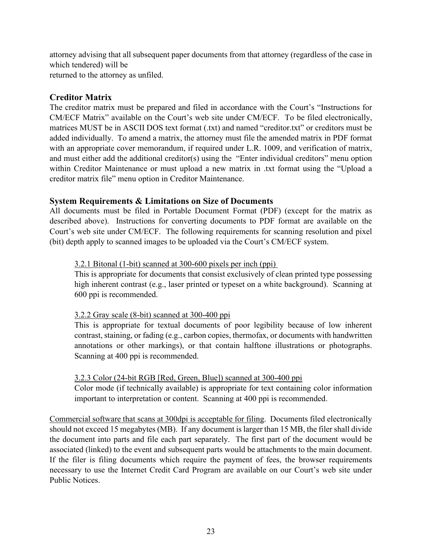attorney advising that all subsequent paper documents from that attorney (regardless of the case in which tendered) will be returned to the attorney as unfiled.

## <span id="page-29-0"></span>**Creditor Matrix**

The creditor matrix must be prepared and filed in accordance with the Court's "Instructions for CM/ECF Matrix" available on the Court's web site under CM/ECF. To be filed electronically, matrices MUST be in ASCII DOS text format (.txt) and named "creditor.txt" or creditors must be added individually. To amend a matrix, the attorney must file the amended matrix in PDF format with an appropriate cover memorandum, if required under L.R. 1009, and verification of matrix, and must either add the additional creditor(s) using the "Enter individual creditors" menu option within Creditor Maintenance or must upload a new matrix in .txt format using the "Upload a creditor matrix file" menu option in Creditor Maintenance.

#### <span id="page-29-1"></span>**System Requirements & Limitations on Size of Documents**

All documents must be filed in Portable Document Format (PDF) (except for the matrix as described above). Instructions for converting documents to PDF format are available on the Court's web site under CM/ECF. The following requirements for scanning resolution and pixel (bit) depth apply to scanned images to be uploaded via the Court's CM/ECF system.

#### 3.2.1 Bitonal (1-bit) scanned at 300-600 pixels per inch (ppi)

This is appropriate for documents that consist exclusively of clean printed type possessing high inherent contrast (e.g., laser printed or typeset on a white background). Scanning at 600 ppi is recommended.

#### 3.2.2 Gray scale (8-bit) scanned at 300-400 ppi

This is appropriate for textual documents of poor legibility because of low inherent contrast, staining, or fading (e.g., carbon copies, thermofax, or documents with handwritten annotations or other markings), or that contain halftone illustrations or photographs. Scanning at 400 ppi is recommended.

#### 3.2.3 Color (24-bit RGB [Red, Green, Blue]) scanned at 300-400 ppi

Color mode (if technically available) is appropriate for text containing color information important to interpretation or content. Scanning at 400 ppi is recommended.

Commercial software that scans at 300dpi is acceptable for filing. Documents filed electronically should not exceed 15 megabytes (MB). If any document is larger than 15 MB, the filer shall divide the document into parts and file each part separately. The first part of the document would be associated (linked) to the event and subsequent parts would be attachments to the main document. If the filer is filing documents which require the payment of fees, the browser requirements necessary to use the Internet Credit Card Program are available on our Court's web site under Public Notices.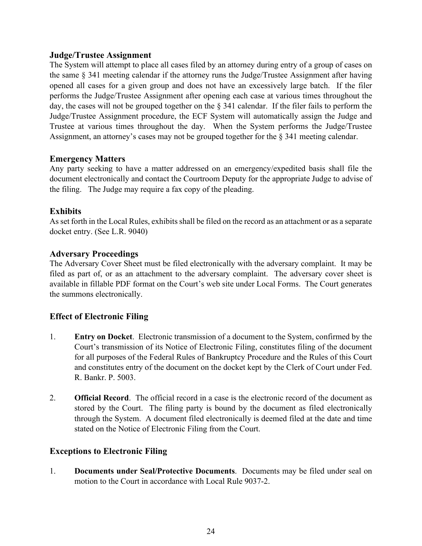## <span id="page-30-0"></span>**Judge/Trustee Assignment**

The System will attempt to place all cases filed by an attorney during entry of a group of cases on the same § 341 meeting calendar if the attorney runs the Judge/Trustee Assignment after having opened all cases for a given group and does not have an excessively large batch. If the filer performs the Judge/Trustee Assignment after opening each case at various times throughout the day, the cases will not be grouped together on the § 341 calendar. If the filer fails to perform the Judge/Trustee Assignment procedure, the ECF System will automatically assign the Judge and Trustee at various times throughout the day. When the System performs the Judge/Trustee Assignment, an attorney's cases may not be grouped together for the § 341 meeting calendar.

#### <span id="page-30-1"></span>**Emergency Matters**

Any party seeking to have a matter addressed on an emergency/expedited basis shall file the document electronically and contact the Courtroom Deputy for the appropriate Judge to advise of the filing. The Judge may require a fax copy of the pleading.

## <span id="page-30-2"></span>**Exhibits**

As set forth in the Local Rules, exhibits shall be filed on the record as an attachment or as a separate docket entry. (See L.R. 9040)

## <span id="page-30-3"></span>**Adversary Proceedings**

The Adversary Cover Sheet must be filed electronically with the adversary complaint. It may be filed as part of, or as an attachment to the adversary complaint. The adversary cover sheet is available in fillable PDF format on the Court's web site under Local Forms. The Court generates the summons electronically.

## <span id="page-30-4"></span>**Effect of Electronic Filing**

- 1. **Entry on Docket**. Electronic transmission of a document to the System, confirmed by the Court's transmission of its Notice of Electronic Filing, constitutes filing of the document for all purposes of the Federal Rules of Bankruptcy Procedure and the Rules of this Court and constitutes entry of the document on the docket kept by the Clerk of Court under Fed. R. Bankr. P. 5003.
- 2. **Official Record**. The official record in a case is the electronic record of the document as stored by the Court. The filing party is bound by the document as filed electronically through the System. A document filed electronically is deemed filed at the date and time stated on the Notice of Electronic Filing from the Court.

## <span id="page-30-5"></span>**Exceptions to Electronic Filing**

1. **Documents under Seal/Protective Documents**. Documents may be filed under seal on motion to the Court in accordance with Local Rule 9037-2.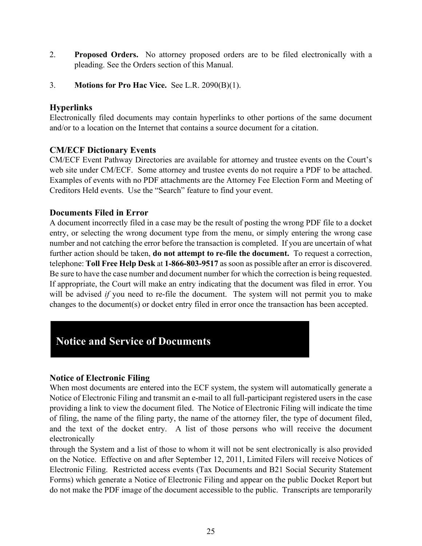- 2. **Proposed Orders.** No attorney proposed orders are to be filed electronically with a pleading. See the Orders section of this Manual.
- 3. **Motions for Pro Hac Vice.** See L.R. 2090(B)(1).

## <span id="page-31-0"></span>**Hyperlinks**

Electronically filed documents may contain hyperlinks to other portions of the same document and/or to a location on the Internet that contains a source document for a citation.

## <span id="page-31-1"></span>**CM/ECF Dictionary Events**

CM/ECF Event Pathway Directories are available for attorney and trustee events on the Court's web site under CM/ECF. Some attorney and trustee events do not require a PDF to be attached. Examples of events with no PDF attachments are the Attorney Fee Election Form and Meeting of Creditors Held events.Use the "Search" feature to find your event.

## <span id="page-31-2"></span>**Documents Filed in Error**

A document incorrectly filed in a case may be the result of posting the wrong PDF file to a docket entry, or selecting the wrong document type from the menu, or simply entering the wrong case number and not catching the error before the transaction is completed. If you are uncertain of what further action should be taken, **do not attempt to re-file the document.** To request a correction, telephone: **Toll Free Help Desk** at **1-866-803-9517** as soon as possible after an error is discovered. Be sure to have the case number and document number for which the correction is being requested. If appropriate, the Court will make an entry indicating that the document was filed in error. You will be advised *if* you need to re-file the document. The system will not permit you to make changes to the document(s) or docket entry filed in error once the transaction has been accepted.

## **Notice and Service of Documents**

## <span id="page-31-3"></span>**Notice of Electronic Filing**

When most documents are entered into the ECF system, the system will automatically generate a Notice of Electronic Filing and transmit an e-mail to all full-participant registered users in the case providing a link to view the document filed. The Notice of Electronic Filing will indicate the time of filing, the name of the filing party, the name of the attorney filer, the type of document filed, and the text of the docket entry. A list of those persons who will receive the document electronically

through the System and a list of those to whom it will not be sent electronically is also provided on the Notice. Effective on and after September 12, 2011, Limited Filers will receive Notices of Electronic Filing. Restricted access events (Tax Documents and B21 Social Security Statement Forms) which generate a Notice of Electronic Filing and appear on the public Docket Report but do not make the PDF image of the document accessible to the public. Transcripts are temporarily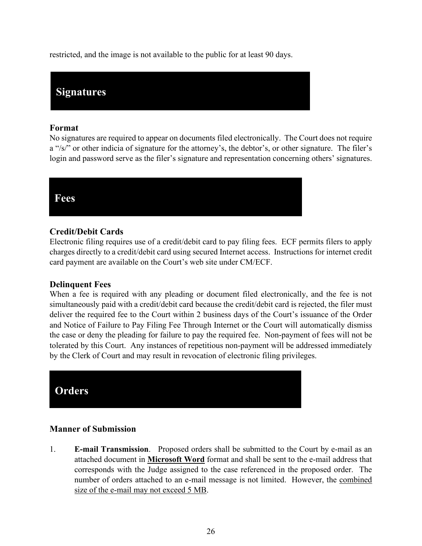restricted, and the image is not available to the public for at least 90 days.

## **Signatures**

#### <span id="page-32-0"></span>**Format**

No signatures are required to appear on documents filed electronically. The Court does not require a "/s/" or other indicia of signature for the attorney's, the debtor's, or other signature. The filer's login and password serve as the filer's signature and representation concerning others' signatures.



## <span id="page-32-1"></span>**Credit/Debit Cards**

Electronic filing requires use of a credit/debit card to pay filing fees. ECF permits filers to apply charges directly to a credit/debit card using secured Internet access. Instructions for internet credit card payment are available on the Court's web site under CM/ECF.

## <span id="page-32-2"></span>**Delinquent Fees**

When a fee is required with any pleading or document filed electronically, and the fee is not simultaneously paid with a credit/debit card because the credit/debit card is rejected, the filer must deliver the required fee to the Court within 2 business days of the Court's issuance of the Order and Notice of Failure to Pay Filing Fee Through Internet or the Court will automatically dismiss the case or deny the pleading for failure to pay the required fee. Non-payment of fees will not be tolerated by this Court. Any instances of repetitious non-payment will be addressed immediately by the Clerk of Court and may result in revocation of electronic filing privileges.



## <span id="page-32-3"></span>**Manner of Submission**

1. **E-mail Transmission**. Proposed orders shall be submitted to the Court by e-mail as an attached document in **Microsoft Word** format and shall be sent to the e-mail address that corresponds with the Judge assigned to the case referenced in the proposed order. The number of orders attached to an e-mail message is not limited. However, the combined size of the e-mail may not exceed 5 MB.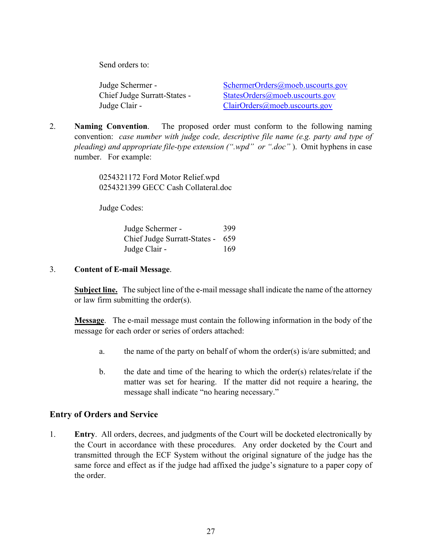Send orders to:

Judge Schermer - [SchermerOrders@moeb.uscourts.gov](mailto:SchermerOrders@moeb.uscourts.gov) Chief Judge Surratt-States - [StatesOrders@moeb.uscourts.gov](mailto:StatesOrders@moeb.uscourts.gov) Judge Clair - [ClairOrders@moeb.uscourts.gov](mailto:RendlenOrders@moeb.uscourts.gov)

2. **Naming Convention**. The proposed order must conform to the following naming convention: *case number with judge code, descriptive file name (e.g. party and type of pleading) and appropriate file-type extension (".wpd" or ".doc"* ). Omit hyphens in case number. For example:

> 0254321172 Ford Motor Relief.wpd 0254321399 GECC Cash Collateral.doc

Judge Codes:

| Judge Schermer -                 | 399 |
|----------------------------------|-----|
| Chief Judge Surratt-States - 659 |     |
| Judge Clair -                    | 169 |

3. **Content of E-mail Message**.

<span id="page-33-0"></span>**Subject line.** The subject line of the e-mail message shall indicate the name of the attorney or law firm submitting the order(s).

**Message**. The e-mail message must contain the following information in the body of the message for each order or series of orders attached:

- a. the name of the party on behalf of whom the order(s) is/are submitted; and
- b. the date and time of the hearing to which the order(s) relates/relate if the matter was set for hearing. If the matter did not require a hearing, the message shall indicate "no hearing necessary."

## <span id="page-33-1"></span>**Entry of Orders and Service**

1. **Entry**. All orders, decrees, and judgments of the Court will be docketed electronically by the Court in accordance with these procedures. Any order docketed by the Court and transmitted through the ECF System without the original signature of the judge has the same force and effect as if the judge had affixed the judge's signature to a paper copy of the order.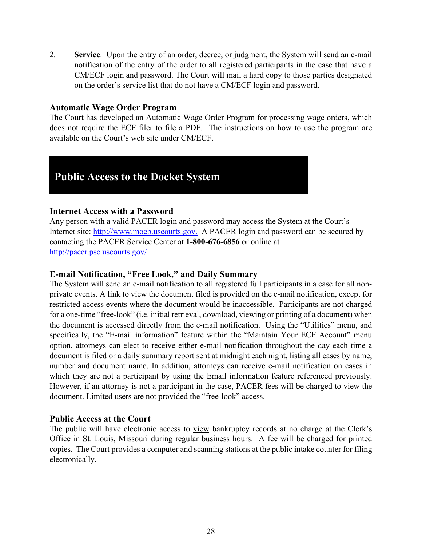2. **Service**. Upon the entry of an order, decree, or judgment, the System will send an e-mail notification of the entry of the order to all registered participants in the case that have a CM/ECF login and password. The Court will mail a hard copy to those parties designated on the order's service list that do not have a CM/ECF login and password.

#### <span id="page-34-0"></span>**Automatic Wage Order Program**

The Court has developed an Automatic Wage Order Program for processing wage orders, which does not require the ECF filer to file a PDF. The instructions on how to use the program are available on the Court's web site under CM/ECF.

## **Public Access to the Docket System**

#### <span id="page-34-1"></span>**Internet Access with a Password**

Any person with a valid PACER login and password may access the System at the Court's Internet site: [http://www.moeb.uscourts.gov.](http://www.moeb.uscourts.gov./) A PACER login and password can be secured by contacting the PACER Service Center at **1-800-676-6856** or online at <http://pacer.psc.uscourts.gov/>.

## <span id="page-34-2"></span>**E-mail Notification, "Free Look," and Daily Summary**

The System will send an e-mail notification to all registered full participants in a case for all nonprivate events. A link to view the document filed is provided on the e-mail notification, except for restricted access events where the document would be inaccessible. Participants are not charged for a one-time "free-look" (i.e. initial retrieval, download, viewing or printing of a document) when the document is accessed directly from the e-mail notification. Using the "Utilities" menu, and specifically, the "E-mail information" feature within the "Maintain Your ECF Account" menu option, attorneys can elect to receive either e-mail notification throughout the day each time a document is filed or a daily summary report sent at midnight each night, listing all cases by name, number and document name. In addition, attorneys can receive e-mail notification on cases in which they are not a participant by using the Email information feature referenced previously. However, if an attorney is not a participant in the case, PACER fees will be charged to view the document. Limited users are not provided the "free-look" access.

#### <span id="page-34-3"></span>**Public Access at the Court**

The public will have electronic access to view bankruptcy records at no charge at the Clerk's Office in St. Louis, Missouri during regular business hours. A fee will be charged for printed copies. The Court provides a computer and scanning stations at the public intake counter for filing electronically.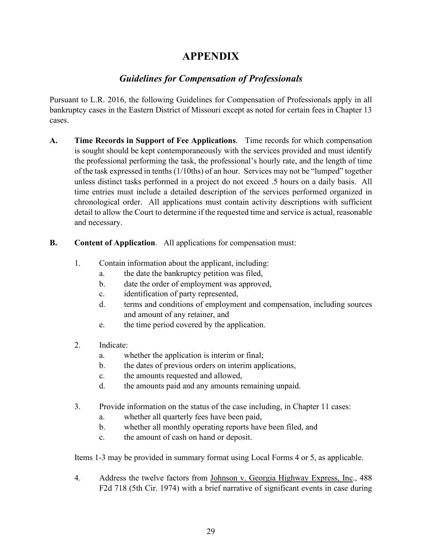## **APPENDIX**

## *Guidelines for Compensation of Professionals*

<span id="page-35-0"></span>Pursuant to L.R. 2016, the following Guidelines for Compensation of Professionals apply in all bankruptcy cases in the Eastern District of Missouri except as noted for certain fees in Chapter 13 cases.

**A. Time Records in Support of Fee Applications**. Time records for which compensation is sought should be kept contemporaneously with the services provided and must identify the professional performing the task, the professional's hourly rate, and the length of time of the task expressed in tenths (1/10ths) of an hour. Services may not be "lumped" together unless distinct tasks performed in a project do not exceed .5 hours on a daily basis. All time entries must include a detailed description of the services performed organized in chronological order. All applications must contain activity descriptions with sufficient detail to allow the Court to determine if the requested time and service is actual, reasonable and necessary.

## **B. Content of Application**. All applications for compensation must:

- 1. Contain information about the applicant, including:
	- a. the date the bankruptcy petition was filed,
	- b. date the order of employment was approved,
	- c. identification of party represented,
	- d. terms and conditions of employment and compensation, including sources and amount of any retainer, and
	- e. the time period covered by the application.
- 2. Indicate:
	- a. whether the application is interim or final;
	- b. the dates of previous orders on interim applications,
	- c. the amounts requested and allowed,
	- d. the amounts paid and any amounts remaining unpaid.
- 3. Provide information on the status of the case including, in Chapter 11 cases:
	- a. whether all quarterly fees have been paid,
	- b. whether all monthly operating reports have been filed, and
	- c. the amount of cash on hand or deposit.

Items 1-3 may be provided in summary format using Local Forms 4 or 5, as applicable.

4. Address the twelve factors from Johnson v. Georgia Highway Express, Inc., 488 F2d 718 (5th Cir. 1974) with a brief narrative of significant events in case during